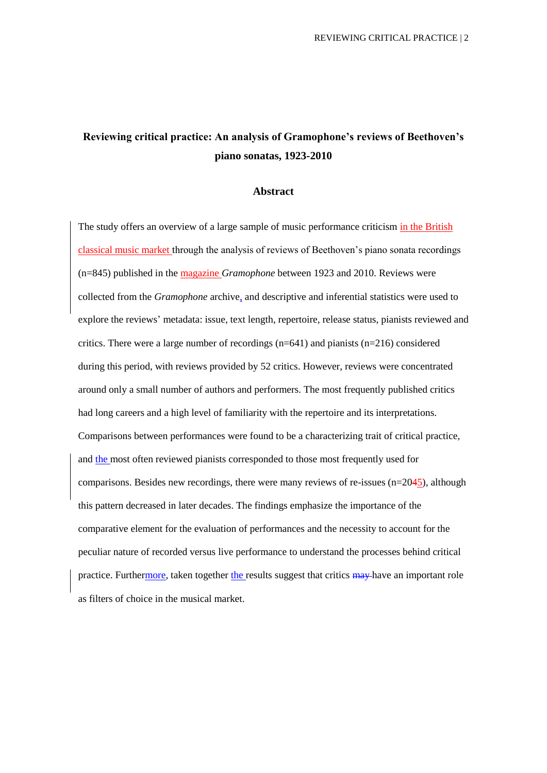# **Reviewing critical practice: An analysis of Gramophone's reviews of Beethoven's piano sonatas, 1923-2010**

#### **Abstract**

The study offers an overview of a large sample of music performance criticism in the British classical music market through the analysis of reviews of Beethoven's piano sonata recordings (n=845) published in the magazine *Gramophone* between 1923 and 2010. Reviews were collected from the *Gramophone* archive, and descriptive and inferential statistics were used to explore the reviews' metadata: issue, text length, repertoire, release status, pianists reviewed and critics. There were a large number of recordings  $(n=641)$  and pianists  $(n=216)$  considered during this period, with reviews provided by 52 critics. However, reviews were concentrated around only a small number of authors and performers. The most frequently published critics had long careers and a high level of familiarity with the repertoire and its interpretations. Comparisons between performances were found to be a characterizing trait of critical practice, and the most often reviewed pianists corresponded to those most frequently used for comparisons. Besides new recordings, there were many reviews of re-issues  $(n=2045)$ , although this pattern decreased in later decades. The findings emphasize the importance of the comparative element for the evaluation of performances and the necessity to account for the peculiar nature of recorded versus live performance to understand the processes behind critical practice. Furthermore, taken together the results suggest that critics may have an important role as filters of choice in the musical market.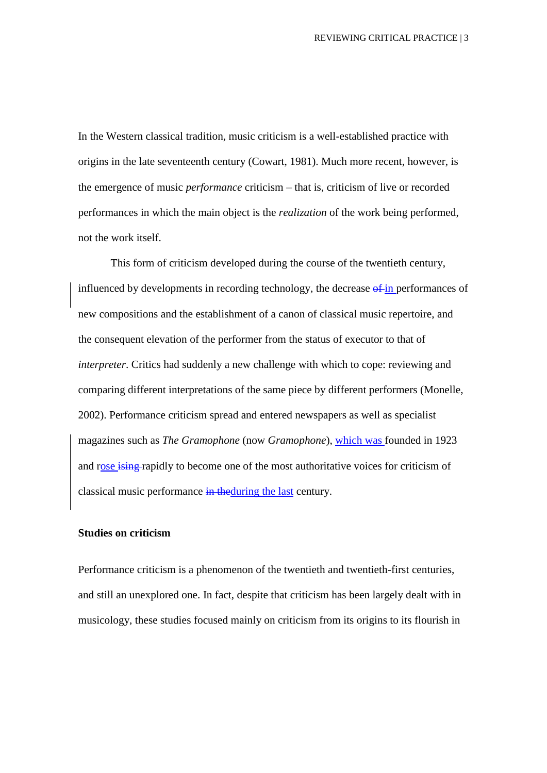In the Western classical tradition, music criticism is a well-established practice with origins in the late seventeenth century (Cowart, 1981). Much more recent, however, is the emergence of music *performance* criticism – that is, criticism of live or recorded performances in which the main object is the *realization* of the work being performed, not the work itself.

This form of criticism developed during the course of the twentieth century, influenced by developments in recording technology, the decrease of in performances of new compositions and the establishment of a canon of classical music repertoire, and the consequent elevation of the performer from the status of executor to that of *interpreter*. Critics had suddenly a new challenge with which to cope: reviewing and comparing different interpretations of the same piece by different performers (Monelle, 2002). Performance criticism spread and entered newspapers as well as specialist magazines such as *The Gramophone* (now *Gramophone*), which was founded in 1923 and rose ising rapidly to become one of the most authoritative voices for criticism of classical music performance in theduring the last century.

#### **Studies on criticism**

Performance criticism is a phenomenon of the twentieth and twentieth-first centuries, and still an unexplored one. In fact, despite that criticism has been largely dealt with in musicology, these studies focused mainly on criticism from its origins to its flourish in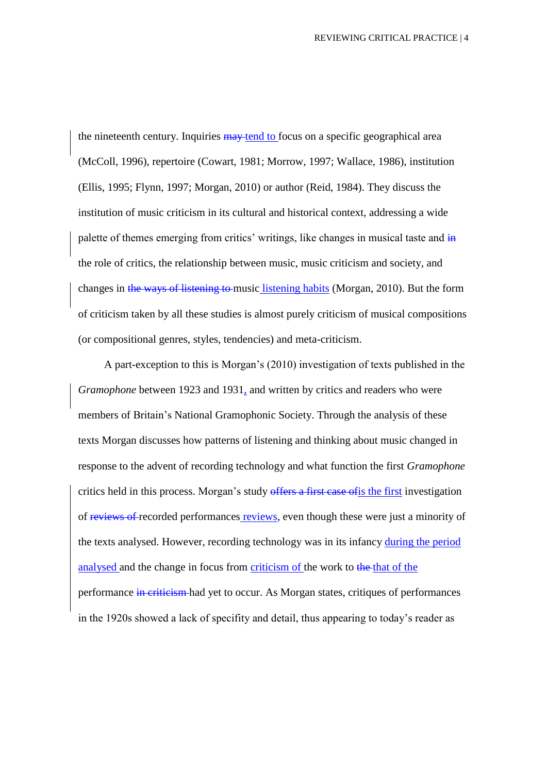the nineteenth century. Inquiries  $\frac{m}{m}$  tend to focus on a specific geographical area (McColl, 1996), repertoire (Cowart, 1981; Morrow, 1997; Wallace, 1986), institution (Ellis, 1995; Flynn, 1997; Morgan, 2010) or author (Reid, 1984). They discuss the institution of music criticism in its cultural and historical context, addressing a wide palette of themes emerging from critics' writings, like changes in musical taste and  $\frac{1}{10}$ the role of critics, the relationship between music, music criticism and society, and changes in the ways of listening to music listening habits (Morgan, 2010). But the form of criticism taken by all these studies is almost purely criticism of musical compositions (or compositional genres, styles, tendencies) and meta-criticism.

A part-exception to this is Morgan's (2010) investigation of texts published in the *Gramophone* between 1923 and 1931, and written by critics and readers who were members of Britain's National Gramophonic Society. Through the analysis of these texts Morgan discusses how patterns of listening and thinking about music changed in response to the advent of recording technology and what function the first *Gramophone* critics held in this process. Morgan's study offers a first case of is the first investigation of reviews of recorded performances reviews, even though these were just a minority of the texts analysed. However, recording technology was in its infancy during the period analysed and the change in focus from criticism of the work to the that of the performance in criticism had yet to occur. As Morgan states, critiques of performances in the 1920s showed a lack of specifity and detail, thus appearing to today's reader as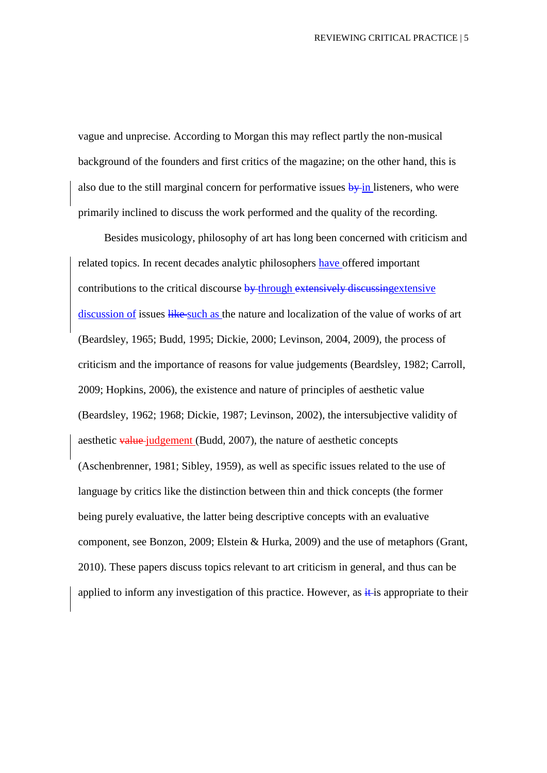vague and unprecise. According to Morgan this may reflect partly the non-musical background of the founders and first critics of the magazine; on the other hand, this is also due to the still marginal concern for performative issues  $\frac{1}{2}$  in listeners, who were primarily inclined to discuss the work performed and the quality of the recording.

Besides musicology, philosophy of art has long been concerned with criticism and related topics. In recent decades analytic philosophers have offered important contributions to the critical discourse by through extensively discussing extensive discussion of issues like such as the nature and localization of the value of works of art (Beardsley, 1965; Budd, 1995; Dickie, 2000; Levinson, 2004, 2009), the process of criticism and the importance of reasons for value judgements (Beardsley, 1982; Carroll, 2009; Hopkins, 2006), the existence and nature of principles of aesthetic value (Beardsley, 1962; 1968; Dickie, 1987; Levinson, 2002), the intersubjective validity of aesthetic value judgement (Budd, 2007), the nature of aesthetic concepts (Aschenbrenner, 1981; Sibley, 1959), as well as specific issues related to the use of language by critics like the distinction between thin and thick concepts (the former being purely evaluative, the latter being descriptive concepts with an evaluative component, see Bonzon, 2009; Elstein & Hurka, 2009) and the use of metaphors (Grant, 2010). These papers discuss topics relevant to art criticism in general, and thus can be applied to inform any investigation of this practice. However, as  $\frac{1}{2}$  is appropriate to their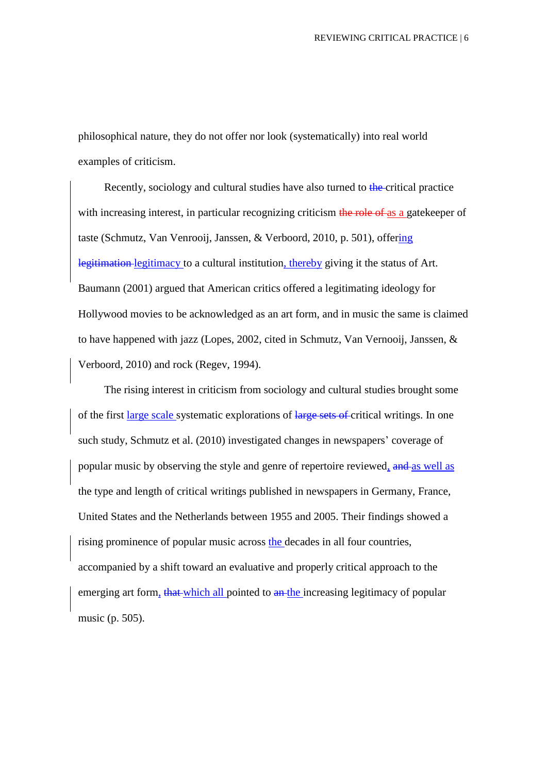philosophical nature, they do not offer nor look (systematically) into real world examples of criticism.

Recently, sociology and cultural studies have also turned to the critical practice with increasing interest, in particular recognizing criticism the role of as a gatekeeper of taste (Schmutz, Van Venrooij, Janssen, & Verboord, 2010, p. 501), offering legitimation legitimacy to a cultural institution, thereby giving it the status of Art. Baumann (2001) argued that American critics offered a legitimating ideology for Hollywood movies to be acknowledged as an art form, and in music the same is claimed to have happened with jazz (Lopes, 2002, cited in Schmutz, Van Vernooij, Janssen, & Verboord, 2010) and rock (Regev, 1994).

The rising interest in criticism from sociology and cultural studies brought some of the first large scale systematic explorations of large sets of critical writings. In one such study, Schmutz et al. (2010) investigated changes in newspapers' coverage of popular music by observing the style and genre of repertoire reviewed, and as well as the type and length of critical writings published in newspapers in Germany, France, United States and the Netherlands between 1955 and 2005. Their findings showed a rising prominence of popular music across the decades in all four countries, accompanied by a shift toward an evaluative and properly critical approach to the emerging art form, that which all pointed to an the increasing legitimacy of popular music (p. 505).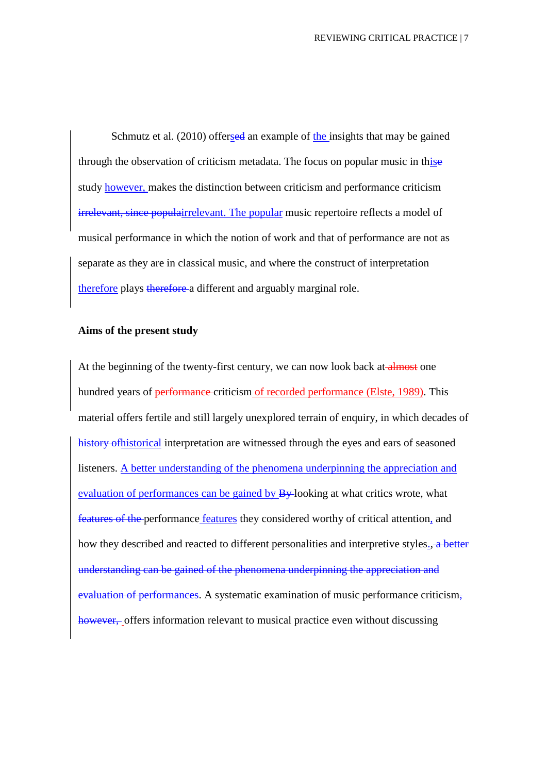Schmutz et al. (2010) offersed an example of the insights that may be gained through the observation of criticism metadata. The focus on popular music in thise study however, makes the distinction between criticism and performance criticism irrelevant, since populairrelevant. The popular music repertoire reflects a model of musical performance in which the notion of work and that of performance are not as separate as they are in classical music, and where the construct of interpretation therefore plays therefore a different and arguably marginal role.

#### **Aims of the present study**

At the beginning of the twenty-first century, we can now look back at almost one hundred years of <del>performance</del> criticism of recorded performance (Elste, 1989). This material offers fertile and still largely unexplored terrain of enquiry, in which decades of history ofhistorical interpretation are witnessed through the eyes and ears of seasoned listeners. A better understanding of the phenomena underpinning the appreciation and evaluation of performances can be gained by  $B_y$ -looking at what critics wrote, what features of the performance features they considered worthy of critical attention, and how they described and reacted to different personalities and interpretive styles., a better understanding can be gained of the phenomena underpinning the appreciation and evaluation of performances. A systematic examination of music performance criticism, however, offers information relevant to musical practice even without discussing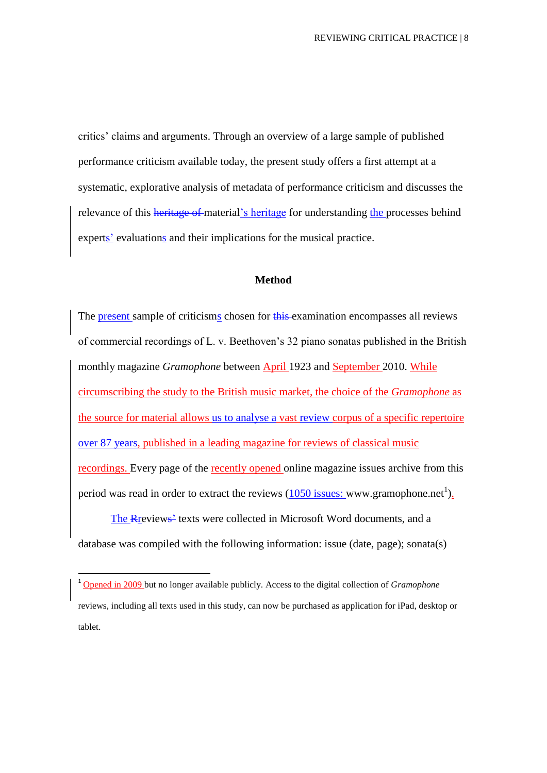critics' claims and arguments. Through an overview of a large sample of published performance criticism available today, the present study offers a first attempt at a systematic, explorative analysis of metadata of performance criticism and discusses the relevance of this heritage of material's heritage for understanding the processes behind experts' evaluations and their implications for the musical practice.

## **Method**

The present sample of criticisms chosen for this examination encompasses all reviews of commercial recordings of L. v. Beethoven's 32 piano sonatas published in the British monthly magazine *Gramophone* between April 1923 and September 2010. While circumscribing the study to the British music market, the choice of the *Gramophone* as the source for material allows us to analyse a vast review corpus of a specific repertoire over 87 years, published in a leading magazine for reviews of classical music recordings. Every page of the recently opened online magazine issues archive from this period was read in order to extract the reviews  $(1050$  issues: www.gramophone.net<sup>1</sup>).

The Rreviews' texts were collected in Microsoft Word documents, and a database was compiled with the following information: issue (date, page); sonata(s)

**.** 

<sup>1</sup> Opened in 2009 but no longer available publicly. Access to the digital collection of *Gramophone* reviews, including all texts used in this study, can now be purchased as application for iPad, desktop or tablet.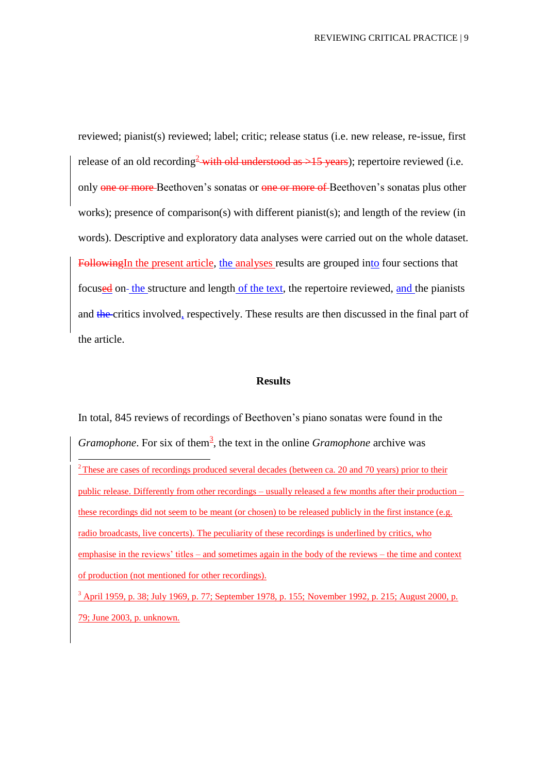reviewed; pianist(s) reviewed; label; critic; release status (i.e. new release, re-issue, first release of an old recording<sup>2</sup> with old understood as  $>15$  years); repertoire reviewed (i.e. only one or more-Beethoven's sonatas or one or more of Beethoven's sonatas plus other works); presence of comparison(s) with different pianist(s); and length of the review (in words). Descriptive and exploratory data analyses were carried out on the whole dataset. FollowingIn the present article, the analyses results are grouped into four sections that focused on-the structure and length of the text, the repertoire reviewed, and the pianists and the critics involved, respectively. These results are then discussed in the final part of the article.

#### **Results**

In total, 845 reviews of recordings of Beethoven's piano sonatas were found in the *Gramophone*. For six of them<sup>3</sup>, the text in the online *Gramophone* archive was **.** <sup>2</sup> These are cases of recordings produced several decades (between ca. 20 and 70 years) prior to their public release. Differently from other recordings – usually released a few months after their production – these recordings did not seem to be meant (or chosen) to be released publicly in the first instance (e.g. radio broadcasts, live concerts). The peculiarity of these recordings is underlined by critics, who emphasise in the reviews' titles – and sometimes again in the body of the reviews – the time and context of production (not mentioned for other recordings). <sup>3</sup> April 1959, p. 38; July 1969, p. 77; September 1978, p. 155; November 1992, p. 215; August 2000, p. 79; June 2003, p. unknown.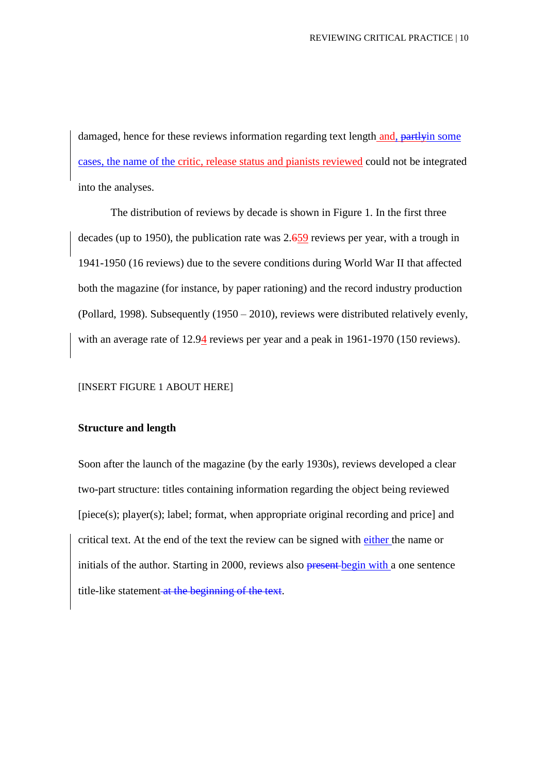damaged, hence for these reviews information regarding text length and, partlyin some cases, the name of the critic, release status and pianists reviewed could not be integrated into the analyses.

The distribution of reviews by decade is shown in Figure 1. In the first three decades (up to 1950), the publication rate was 2.659 reviews per year, with a trough in 1941-1950 (16 reviews) due to the severe conditions during World War II that affected both the magazine (for instance, by paper rationing) and the record industry production (Pollard, 1998). Subsequently (1950 – 2010), reviews were distributed relatively evenly, with an average rate of 12.94 reviews per year and a peak in 1961-1970 (150 reviews).

#### [INSERT FIGURE 1 ABOUT HERE]

## **Structure and length**

Soon after the launch of the magazine (by the early 1930s), reviews developed a clear two-part structure: titles containing information regarding the object being reviewed [piece(s); player(s); label; format, when appropriate original recording and price] and critical text. At the end of the text the review can be signed with either the name or initials of the author. Starting in 2000, reviews also **present** begin with a one sentence title-like statement at the beginning of the text.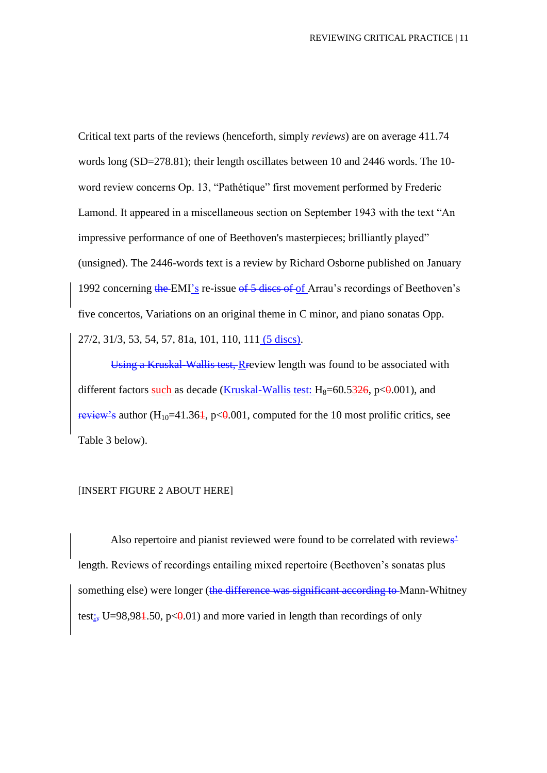Critical text parts of the reviews (henceforth, simply *reviews*) are on average 411.74 words long (SD=278.81); their length oscillates between 10 and 2446 words. The 10 word review concerns Op. 13, "Pathétique" first movement performed by Frederic Lamond. It appeared in a miscellaneous section on September 1943 with the text "An impressive performance of one of Beethoven's masterpieces; brilliantly played" (unsigned). The 2446-words text is a review by Richard Osborne published on January 1992 concerning the EMI's re-issue of 5 discs of of Arrau's recordings of Beethoven's five concertos, Variations on an original theme in C minor, and piano sonatas Opp.

27/2, 31/3, 53, 54, 57, 81a, 101, 110, 111 (5 discs).

Using a Kruskal-Wallis test, Rreview length was found to be associated with different factors such as decade (Kruskal-Wallis test:  $H_8 = 60.5326$ , p $\lt 0.001$ ), and review's author  $(H_{10}=41.364, p<0.001,$  computed for the 10 most prolific critics, see Table 3 below).

#### [INSERT FIGURE 2 ABOUT HERE]

Also repertoire and pianist reviewed were found to be correlated with reviews' length. Reviews of recordings entailing mixed repertoire (Beethoven's sonatas plus something else) were longer (the difference was significant according to Mann-Whitney test:, U=98,984.50, p< $\theta$ .01) and more varied in length than recordings of only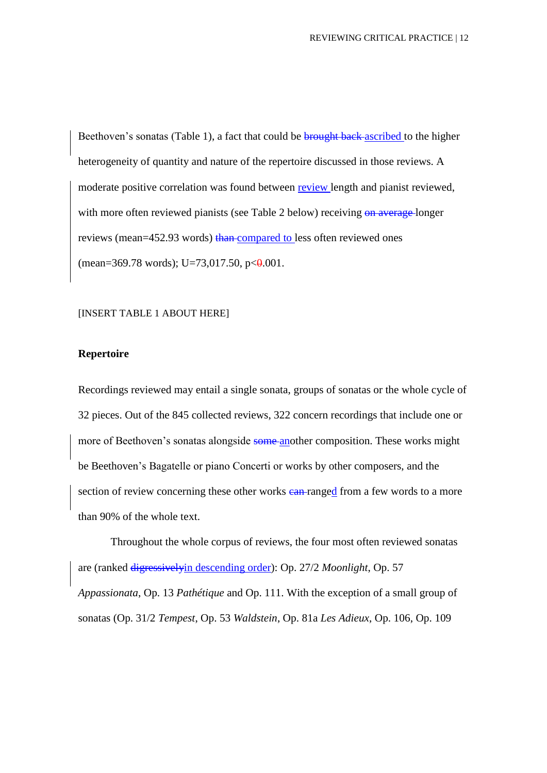Beethoven's sonatas (Table 1), a fact that could be **brought back**-ascribed to the higher heterogeneity of quantity and nature of the repertoire discussed in those reviews. A moderate positive correlation was found between review length and pianist reviewed, with more often reviewed pianists (see Table 2 below) receiving on average longer reviews (mean=452.93 words) than compared to less often reviewed ones (mean=369.78 words); U=73,017.50, p $<0.001$ .

#### [INSERT TABLE 1 ABOUT HERE]

## **Repertoire**

Recordings reviewed may entail a single sonata, groups of sonatas or the whole cycle of 32 pieces. Out of the 845 collected reviews, 322 concern recordings that include one or more of Beethoven's sonatas alongside some another composition. These works might be Beethoven's Bagatelle or piano Concerti or works by other composers, and the section of review concerning these other works can ranged from a few words to a more than 90% of the whole text.

Throughout the whole corpus of reviews, the four most often reviewed sonatas are (ranked digressivelyin descending order): Op. 27/2 *Moonlight*, Op. 57 *Appassionata*, Op. 13 *Pathétique* and Op. 111. With the exception of a small group of sonatas (Op. 31/2 *Tempest*, Op. 53 *Waldstein*, Op. 81a *Les Adieux*, Op. 106, Op. 109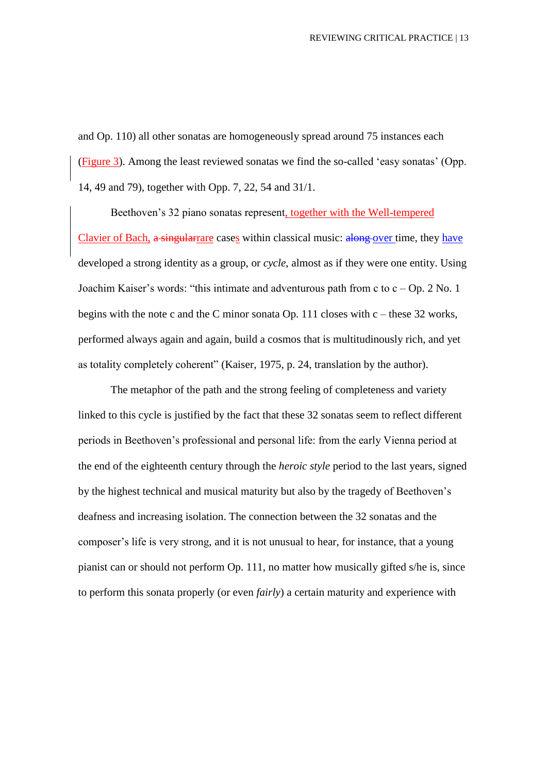and Op. 110) all other sonatas are homogeneously spread around 75 instances each (Figure 3). Among the least reviewed sonatas we find the so-called 'easy sonatas' (Opp. 14, 49 and 79), together with Opp. 7, 22, 54 and 31/1.

Beethoven's 32 piano sonatas represent, together with the Well-tempered Clavier of Bach, a singularrare cases within classical music: along over time, they have developed a strong identity as a group, or *cycle*, almost as if they were one entity. Using Joachim Kaiser's words: "this intimate and adventurous path from c to c – Op. 2 No. 1 begins with the note c and the C minor sonata Op. 111 closes with c – these 32 works, performed always again and again, build a cosmos that is multitudinously rich, and yet as totality completely coherent" (Kaiser, 1975, p. 24, translation by the author).

The metaphor of the path and the strong feeling of completeness and variety linked to this cycle is justified by the fact that these 32 sonatas seem to reflect different periods in Beethoven's professional and personal life: from the early Vienna period at the end of the eighteenth century through the *heroic style* period to the last years, signed by the highest technical and musical maturity but also by the tragedy of Beethoven's deafness and increasing isolation. The connection between the 32 sonatas and the composer's life is very strong, and it is not unusual to hear, for instance, that a young pianist can or should not perform Op. 111, no matter how musically gifted s/he is, since to perform this sonata properly (or even *fairly*) a certain maturity and experience with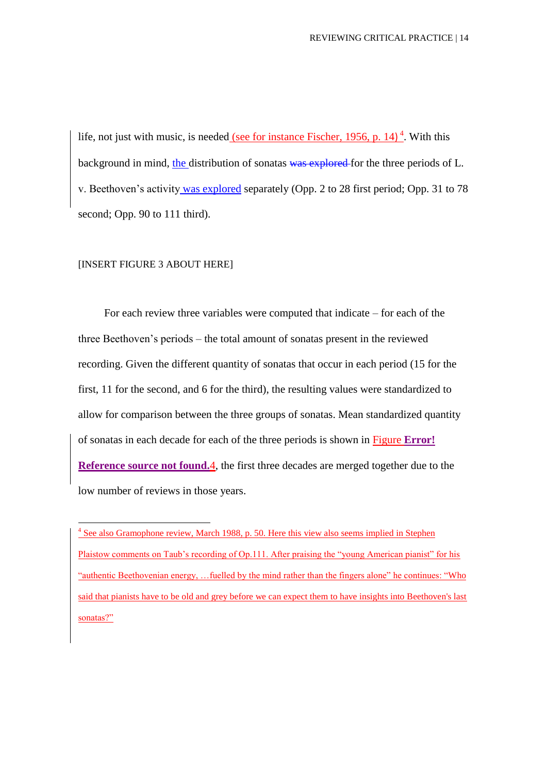life, not just with music, is needed (see for instance Fischer, 1956, p. 14) $<sup>4</sup>$ . With this</sup> background in mind, the distribution of sonatas was explored for the three periods of L. v. Beethoven's activity was explored separately (Opp. 2 to 28 first period; Opp. 31 to 78 second; Opp. 90 to 111 third).

#### [INSERT FIGURE 3 ABOUT HERE]

<u>.</u>

For each review three variables were computed that indicate – for each of the three Beethoven's periods – the total amount of sonatas present in the reviewed recording. Given the different quantity of sonatas that occur in each period (15 for the first, 11 for the second, and 6 for the third), the resulting values were standardized to allow for comparison between the three groups of sonatas. Mean standardized quantity of sonatas in each decade for each of the three periods is shown in Figure **Error! Reference source not found.**4, the first three decades are merged together due to the low number of reviews in those years.

<sup>4</sup> See also Gramophone review, March 1988, p. 50. Here this view also seems implied in Stephen Plaistow comments on Taub's recording of Op.111. After praising the "young American pianist" for his "authentic Beethovenian energy, …fuelled by the mind rather than the fingers alone" he continues: "Who said that pianists have to be old and grey before we can expect them to have insights into Beethoven's last sonatas?"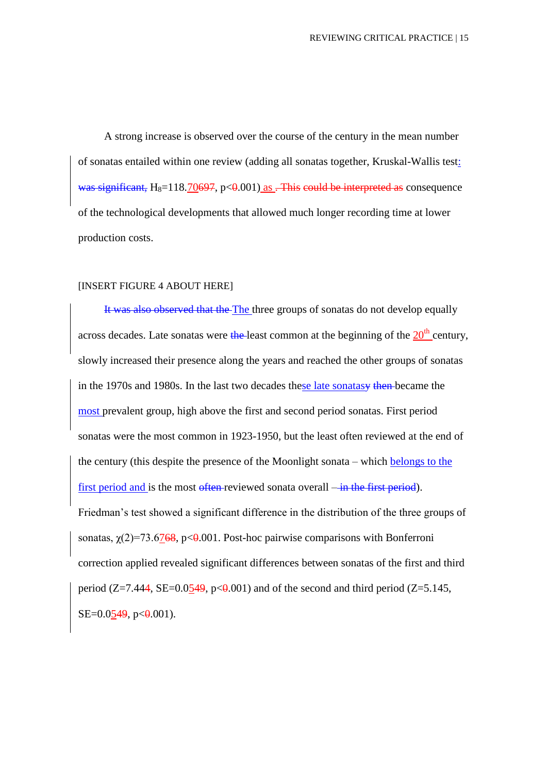A strong increase is observed over the course of the century in the mean number of sonatas entailed within one review (adding all sonatas together, Kruskal-Wallis test: was significant,  $H_8=118.70697$ , p $<0.001$ ) as . This could be interpreted as consequence of the technological developments that allowed much longer recording time at lower production costs.

#### [INSERT FIGURE 4 ABOUT HERE]

It was also observed that the The three groups of sonatas do not develop equally across decades. Late sonatas were the least common at the beginning of the  $20<sup>th</sup>$  century. slowly increased their presence along the years and reached the other groups of sonatas in the 1970s and 1980s. In the last two decades these late sonatasy then became the most prevalent group, high above the first and second period sonatas. First period sonatas were the most common in 1923-1950, but the least often reviewed at the end of the century (this despite the presence of the Moonlight sonata – which belongs to the first period and is the most often reviewed sonata overall —in the first period). Friedman's test showed a significant difference in the distribution of the three groups of sonatas,  $\chi(2)=73.6768$ , p<0.001. Post-hoc pairwise comparisons with Bonferroni correction applied revealed significant differences between sonatas of the first and third period ( $Z=7.444$ ,  $SE=0.0549$ ,  $p<0.001$ ) and of the second and third period ( $Z=5.145$ ,  $SE=0.0549$ ,  $p<0.001$ ).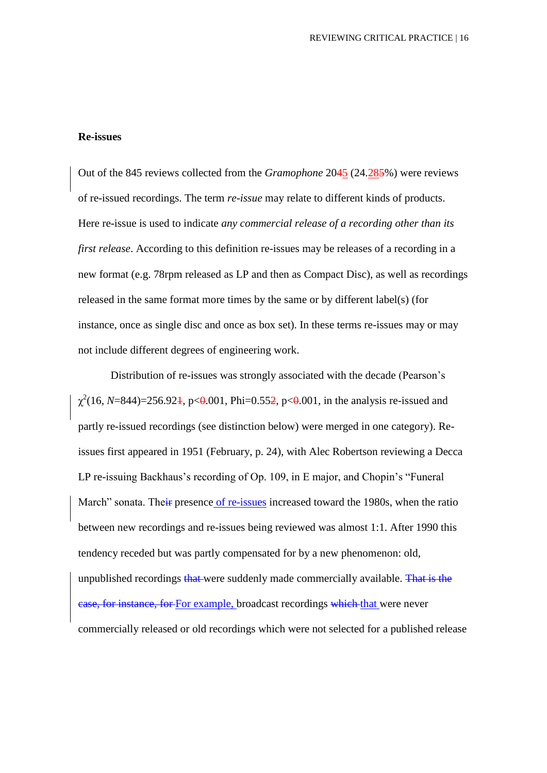#### **Re-issues**

Out of the 845 reviews collected from the *Gramophone* 2045 (24.285%) were reviews of re-issued recordings. The term *re-issue* may relate to different kinds of products. Here re-issue is used to indicate *any commercial release of a recording other than its first release*. According to this definition re-issues may be releases of a recording in a new format (e.g. 78rpm released as LP and then as Compact Disc), as well as recordings released in the same format more times by the same or by different label(s) (for instance, once as single disc and once as box set). In these terms re-issues may or may not include different degrees of engineering work.

Distribution of re-issues was strongly associated with the decade (Pearson's  $\chi^2(16, N=844)=256.92$ <sup>1</sup>, p<0.001, Phi=0.55<sup>2</sup>, p<0.001, in the analysis re-issued and partly re-issued recordings (see distinction below) were merged in one category). Reissues first appeared in 1951 (February, p. 24), with Alec Robertson reviewing a Decca LP re-issuing Backhaus's recording of Op. 109, in E major, and Chopin's "Funeral March" sonata. Their presence of re-issues increased toward the 1980s, when the ratio between new recordings and re-issues being reviewed was almost 1:1. After 1990 this tendency receded but was partly compensated for by a new phenomenon: old, unpublished recordings that were suddenly made commercially available. That is the case, for instance, for For example, broadcast recordings which that were never commercially released or old recordings which were not selected for a published release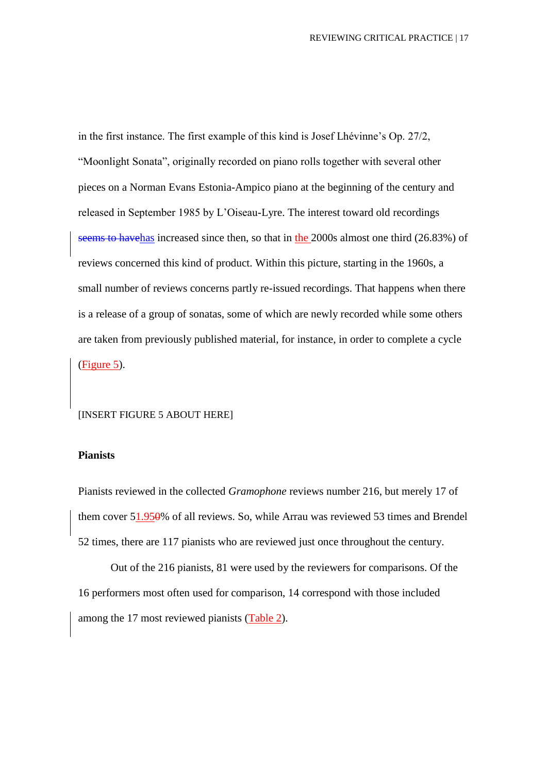in the first instance. The first example of this kind is Josef Lhévinne's Op. 27/2, "Moonlight Sonata", originally recorded on piano rolls together with several other pieces on a Norman Evans Estonia-Ampico piano at the beginning of the century and released in September 1985 by L'Oiseau-Lyre. The interest toward old recordings seems to havehas increased since then, so that in the 2000s almost one third (26.83%) of reviews concerned this kind of product. Within this picture, starting in the 1960s, a small number of reviews concerns partly re-issued recordings. That happens when there is a release of a group of sonatas, some of which are newly recorded while some others are taken from previously published material, for instance, in order to complete a cycle (Figure 5).

#### [INSERT FIGURE 5 ABOUT HERE]

#### **Pianists**

Pianists reviewed in the collected *Gramophone* reviews number 216, but merely 17 of them cover 51.950% of all reviews. So, while Arrau was reviewed 53 times and Brendel 52 times, there are 117 pianists who are reviewed just once throughout the century.

Out of the 216 pianists, 81 were used by the reviewers for comparisons. Of the 16 performers most often used for comparison, 14 correspond with those included among the 17 most reviewed pianists (Table 2).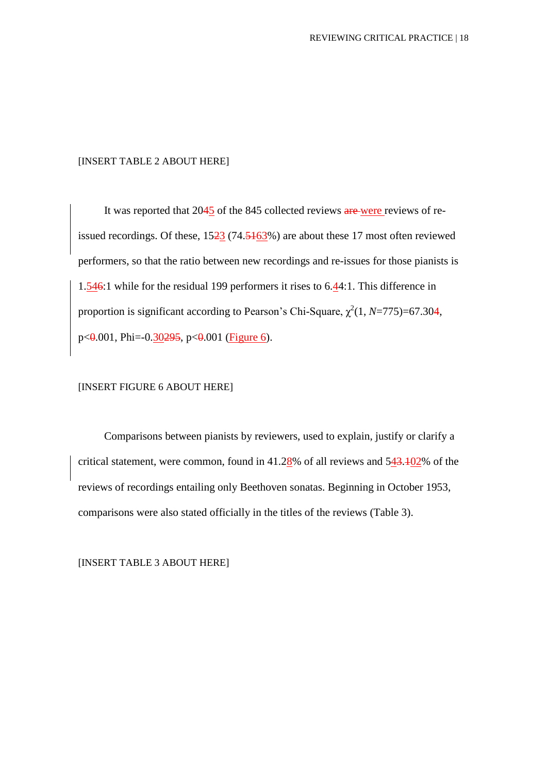#### [INSERT TABLE 2 ABOUT HERE]

It was reported that 2045 of the 845 collected reviews are were reviews of reissued recordings. Of these, 1523 (74.5163%) are about these 17 most often reviewed performers, so that the ratio between new recordings and re-issues for those pianists is 1.546:1 while for the residual 199 performers it rises to 6.44:1. This difference in proportion is significant according to Pearson's Chi-Square,  $\chi^2(1, N=775)=67.304$ ,  $p \le 0.001$ , Phi=-0.30295,  $p \le 0.001$  (Figure 6).

## [INSERT FIGURE 6 ABOUT HERE]

Comparisons between pianists by reviewers, used to explain, justify or clarify a critical statement, were common, found in 41.28% of all reviews and 543.102% of the reviews of recordings entailing only Beethoven sonatas. Beginning in October 1953, comparisons were also stated officially in the titles of the reviews (Table 3).

[INSERT TABLE 3 ABOUT HERE]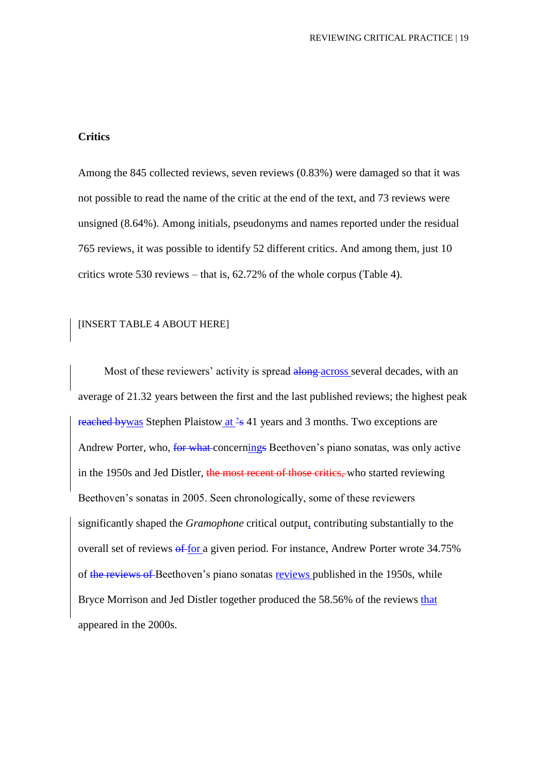## **Critics**

Among the 845 collected reviews, seven reviews (0.83%) were damaged so that it was not possible to read the name of the critic at the end of the text, and 73 reviews were unsigned (8.64%). Among initials, pseudonyms and names reported under the residual 765 reviews, it was possible to identify 52 different critics. And among them, just 10 critics wrote 530 reviews – that is, 62.72% of the whole corpus (Table 4).

#### [INSERT TABLE 4 ABOUT HERE]

Most of these reviewers' activity is spread along across several decades, with an average of 21.32 years between the first and the last published reviews; the highest peak reached bywas Stephen Plaistow at  $\frac{2}{5}$  41 years and 3 months. Two exceptions are Andrew Porter, who, for what concernings Beethoven's piano sonatas, was only active in the 1950s and Jed Distler, the most recent of those critics, who started reviewing Beethoven's sonatas in 2005. Seen chronologically, some of these reviewers significantly shaped the *Gramophone* critical output, contributing substantially to the overall set of reviews of for a given period. For instance, Andrew Porter wrote 34.75% of the reviews of Beethoven's piano sonatas reviews published in the 1950s, while Bryce Morrison and Jed Distler together produced the 58.56% of the reviews that appeared in the 2000s.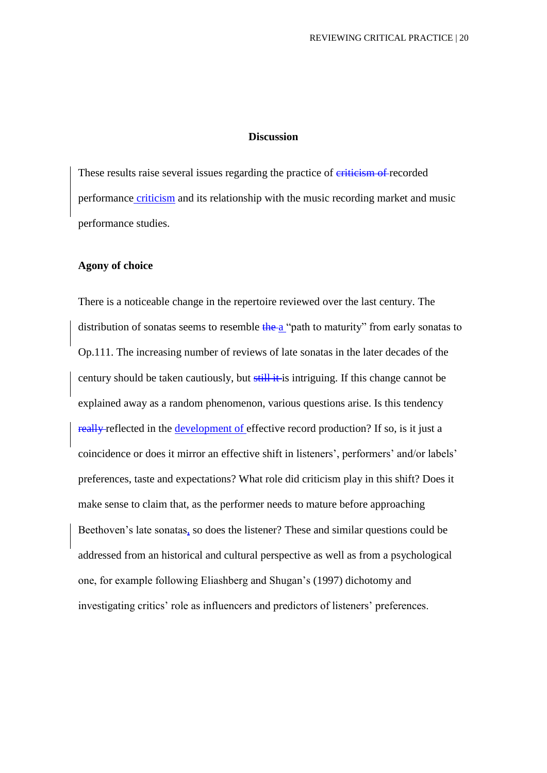## **Discussion**

These results raise several issues regarding the practice of eriticism of recorded performance criticism and its relationship with the music recording market and music performance studies.

## **Agony of choice**

There is a noticeable change in the repertoire reviewed over the last century. The distribution of sonatas seems to resemble  $\frac{1}{2}$  the a "path to maturity" from early sonatas to Op.111. The increasing number of reviews of late sonatas in the later decades of the century should be taken cautiously, but still it is intriguing. If this change cannot be explained away as a random phenomenon, various questions arise. Is this tendency really reflected in the development of effective record production? If so, is it just a coincidence or does it mirror an effective shift in listeners', performers' and/or labels' preferences, taste and expectations? What role did criticism play in this shift? Does it make sense to claim that, as the performer needs to mature before approaching Beethoven's late sonatas, so does the listener? These and similar questions could be addressed from an historical and cultural perspective as well as from a psychological one, for example following Eliashberg and Shugan's (1997) dichotomy and investigating critics' role as influencers and predictors of listeners' preferences.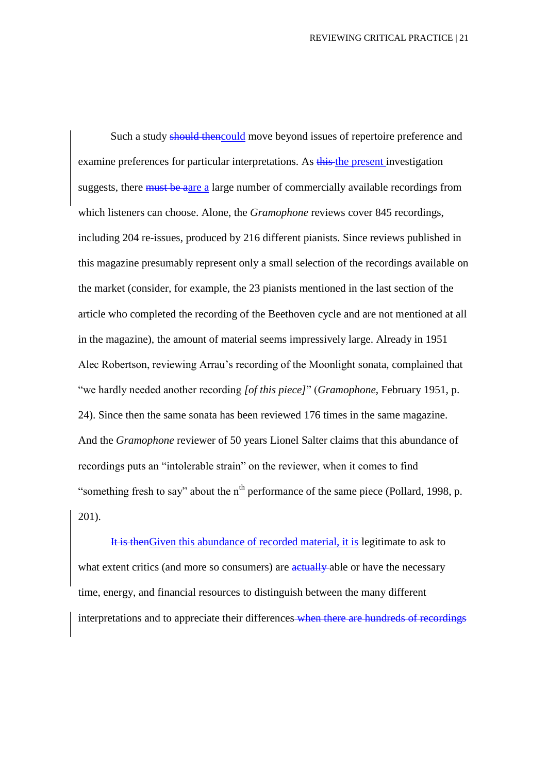Such a study should thencould move beyond issues of repertoire preference and examine preferences for particular interpretations. As this the present investigation suggests, there must be aare a large number of commercially available recordings from which listeners can choose. Alone, the *Gramophone* reviews cover 845 recordings, including 204 re-issues, produced by 216 different pianists. Since reviews published in this magazine presumably represent only a small selection of the recordings available on the market (consider, for example, the 23 pianists mentioned in the last section of the article who completed the recording of the Beethoven cycle and are not mentioned at all in the magazine), the amount of material seems impressively large. Already in 1951 Alec Robertson, reviewing Arrau's recording of the Moonlight sonata, complained that "we hardly needed another recording *[of this piece]*" (*Gramophone*, February 1951, p. 24). Since then the same sonata has been reviewed 176 times in the same magazine. And the *Gramophone* reviewer of 50 years Lionel Salter claims that this abundance of recordings puts an "intolerable strain" on the reviewer, when it comes to find "something fresh to say" about the  $n<sup>th</sup>$  performance of the same piece (Pollard, 1998, p. 201).

It is thenGiven this abundance of recorded material, it is legitimate to ask to what extent critics (and more so consumers) are actually able or have the necessary time, energy, and financial resources to distinguish between the many different interpretations and to appreciate their differences-when there are hundreds of recordings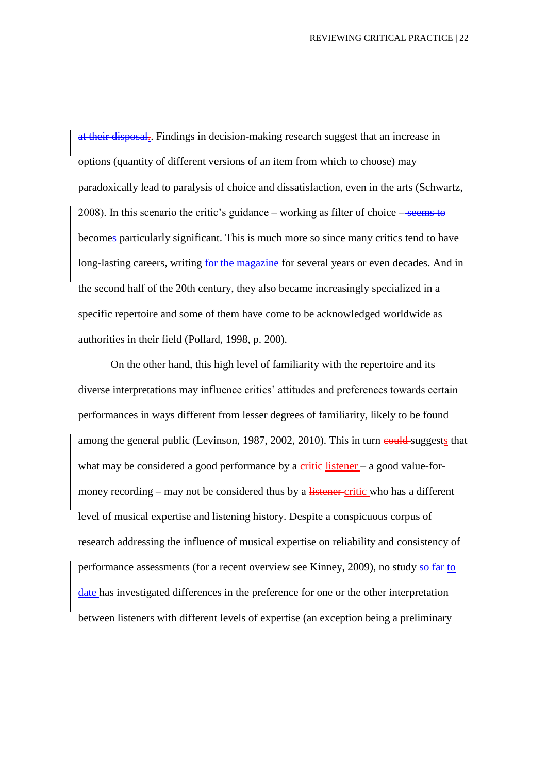at their disposal.. Findings in decision-making research suggest that an increase in options (quantity of different versions of an item from which to choose) may paradoxically lead to paralysis of choice and dissatisfaction, even in the arts (Schwartz, 2008). In this scenario the critic's guidance – working as filter of choice  $-\frac{\text{seems to}}{\text{seems to}}$ becomes particularly significant. This is much more so since many critics tend to have long-lasting careers, writing for the magazine for several years or even decades. And in the second half of the 20th century, they also became increasingly specialized in a specific repertoire and some of them have come to be acknowledged worldwide as authorities in their field (Pollard, 1998, p. 200).

On the other hand, this high level of familiarity with the repertoire and its diverse interpretations may influence critics' attitudes and preferences towards certain performances in ways different from lesser degrees of familiarity, likely to be found among the general public (Levinson, 1987, 2002, 2010). This in turn could suggests that what may be considered a good performance by a  $\frac{c}{\text{critic}}$ -listener – a good value-formoney recording – may not be considered thus by a listener critic who has a different level of musical expertise and listening history. Despite a conspicuous corpus of research addressing the influence of musical expertise on reliability and consistency of performance assessments (for a recent overview see Kinney, 2009), no study so far to date has investigated differences in the preference for one or the other interpretation between listeners with different levels of expertise (an exception being a preliminary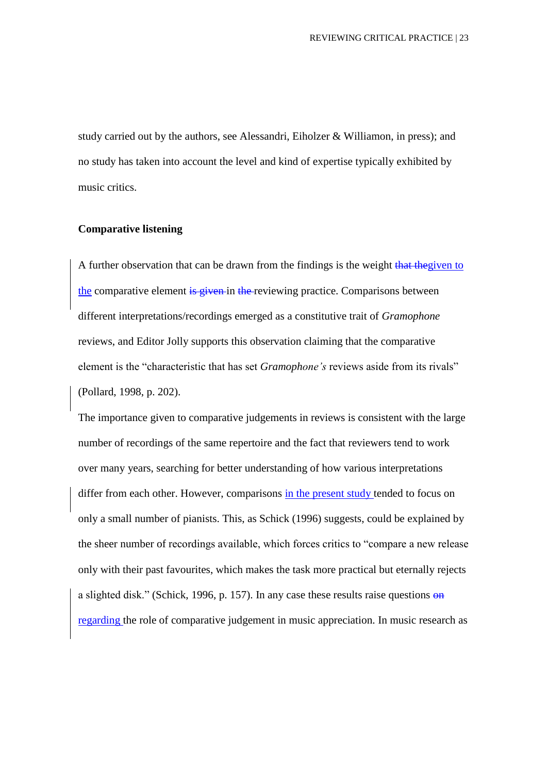study carried out by the authors, see Alessandri, Eiholzer & Williamon, in press); and no study has taken into account the level and kind of expertise typically exhibited by music critics.

#### **Comparative listening**

A further observation that can be drawn from the findings is the weight that the given to the comparative element is given in the reviewing practice. Comparisons between different interpretations/recordings emerged as a constitutive trait of *Gramophone* reviews, and Editor Jolly supports this observation claiming that the comparative element is the "characteristic that has set *Gramophone's* reviews aside from its rivals" (Pollard, 1998, p. 202).

The importance given to comparative judgements in reviews is consistent with the large number of recordings of the same repertoire and the fact that reviewers tend to work over many years, searching for better understanding of how various interpretations differ from each other. However, comparisons in the present study tended to focus on only a small number of pianists. This, as Schick (1996) suggests, could be explained by the sheer number of recordings available, which forces critics to "compare a new release only with their past favourites, which makes the task more practical but eternally rejects a slighted disk." (Schick, 1996, p. 157). In any case these results raise questions  $\Theta$ <sup>n</sup> regarding the role of comparative judgement in music appreciation. In music research as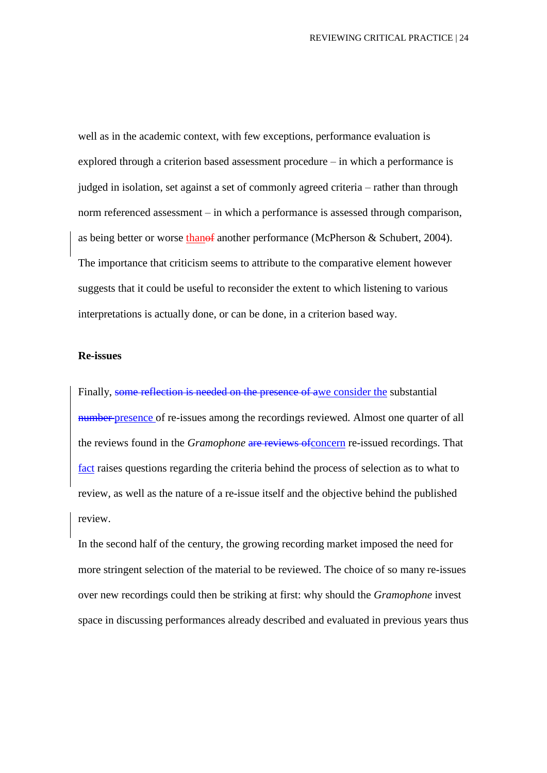well as in the academic context, with few exceptions, performance evaluation is explored through a criterion based assessment procedure – in which a performance is judged in isolation, set against a set of commonly agreed criteria – rather than through norm referenced assessment – in which a performance is assessed through comparison, as being better or worse thanof another performance (McPherson & Schubert, 2004). The importance that criticism seems to attribute to the comparative element however suggests that it could be useful to reconsider the extent to which listening to various interpretations is actually done, or can be done, in a criterion based way.

#### **Re-issues**

Finally, some reflection is needed on the presence of awe consider the substantial number presence of re-issues among the recordings reviewed. Almost one quarter of all the reviews found in the *Gramophone* are reviews of concern re-issued recordings. That fact raises questions regarding the criteria behind the process of selection as to what to review, as well as the nature of a re-issue itself and the objective behind the published review.

In the second half of the century, the growing recording market imposed the need for more stringent selection of the material to be reviewed. The choice of so many re-issues over new recordings could then be striking at first: why should the *Gramophone* invest space in discussing performances already described and evaluated in previous years thus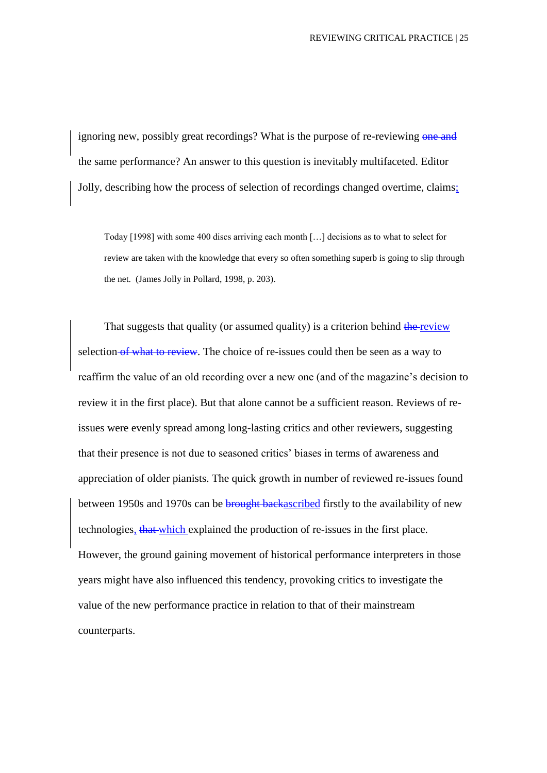ignoring new, possibly great recordings? What is the purpose of re-reviewing one and the same performance? An answer to this question is inevitably multifaceted. Editor Jolly, describing how the process of selection of recordings changed overtime, claims;

Today [1998] with some 400 discs arriving each month […] decisions as to what to select for review are taken with the knowledge that every so often something superb is going to slip through the net. (James Jolly in Pollard, 1998, p. 203).

That suggests that quality (or assumed quality) is a criterion behind the review selection of what to review. The choice of re-issues could then be seen as a way to reaffirm the value of an old recording over a new one (and of the magazine's decision to review it in the first place). But that alone cannot be a sufficient reason. Reviews of reissues were evenly spread among long-lasting critics and other reviewers, suggesting that their presence is not due to seasoned critics' biases in terms of awareness and appreciation of older pianists. The quick growth in number of reviewed re-issues found between 1950s and 1970s can be **brought backascribed** firstly to the availability of new technologies, that which explained the production of re-issues in the first place. However, the ground gaining movement of historical performance interpreters in those years might have also influenced this tendency, provoking critics to investigate the value of the new performance practice in relation to that of their mainstream counterparts.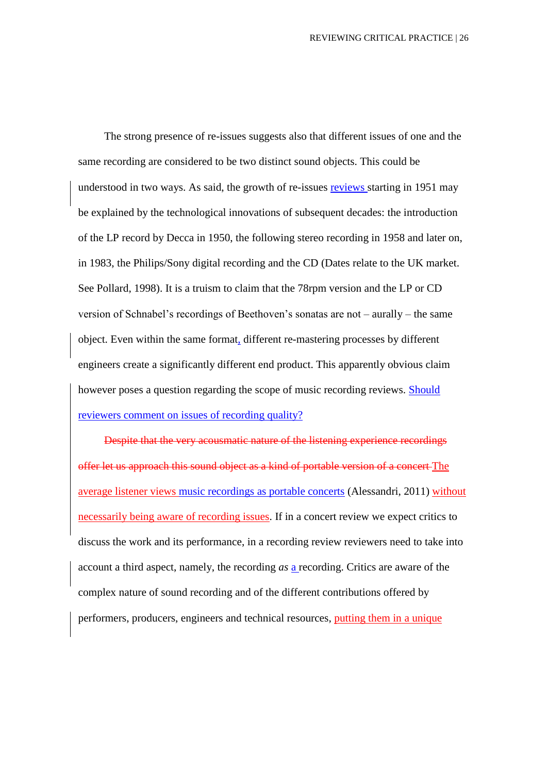The strong presence of re-issues suggests also that different issues of one and the same recording are considered to be two distinct sound objects. This could be understood in two ways. As said, the growth of re-issues reviews starting in 1951 may be explained by the technological innovations of subsequent decades: the introduction of the LP record by Decca in 1950, the following stereo recording in 1958 and later on, in 1983, the Philips/Sony digital recording and the CD (Dates relate to the UK market. See Pollard, 1998). It is a truism to claim that the 78rpm version and the LP or CD version of Schnabel's recordings of Beethoven's sonatas are not – aurally – the same object. Even within the same format, different re-mastering processes by different engineers create a significantly different end product. This apparently obvious claim however poses a question regarding the scope of music recording reviews. Should reviewers comment on issues of recording quality?

Despite that the very acousmatic nature of the listening experience recordings offer let us approach this sound object as a kind of portable version of a concert The average listener views music recordings as portable concerts (Alessandri, 2011) without necessarily being aware of recording issues. If in a concert review we expect critics to discuss the work and its performance, in a recording review reviewers need to take into account a third aspect, namely, the recording *as* a recording. Critics are aware of the complex nature of sound recording and of the different contributions offered by performers, producers, engineers and technical resources, putting them in a unique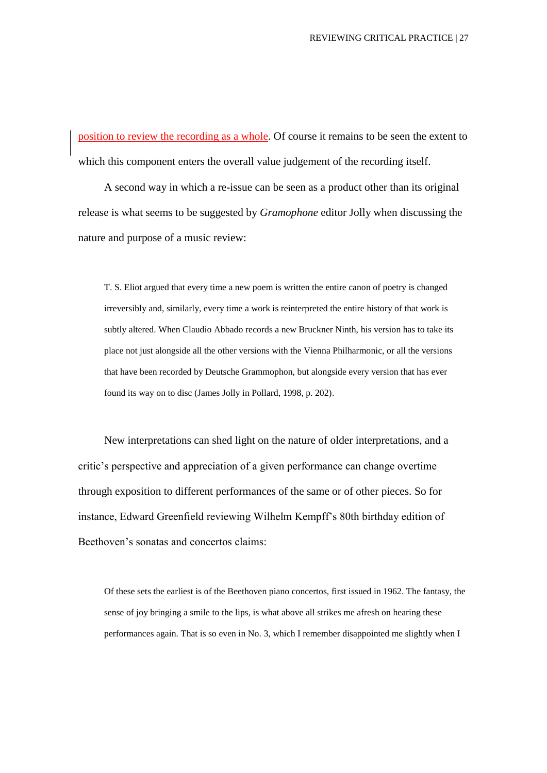position to review the recording as a whole. Of course it remains to be seen the extent to which this component enters the overall value judgement of the recording itself.

A second way in which a re-issue can be seen as a product other than its original release is what seems to be suggested by *Gramophone* editor Jolly when discussing the nature and purpose of a music review:

T. S. Eliot argued that every time a new poem is written the entire canon of poetry is changed irreversibly and, similarly, every time a work is reinterpreted the entire history of that work is subtly altered. When Claudio Abbado records a new Bruckner Ninth, his version has to take its place not just alongside all the other versions with the Vienna Philharmonic, or all the versions that have been recorded by Deutsche Grammophon, but alongside every version that has ever found its way on to disc (James Jolly in Pollard, 1998, p. 202).

New interpretations can shed light on the nature of older interpretations, and a critic's perspective and appreciation of a given performance can change overtime through exposition to different performances of the same or of other pieces. So for instance, Edward Greenfield reviewing Wilhelm Kempff's 80th birthday edition of Beethoven's sonatas and concertos claims:

Of these sets the earliest is of the Beethoven piano concertos, first issued in 1962. The fantasy, the sense of joy bringing a smile to the lips, is what above all strikes me afresh on hearing these performances again. That is so even in No. 3, which I remember disappointed me slightly when I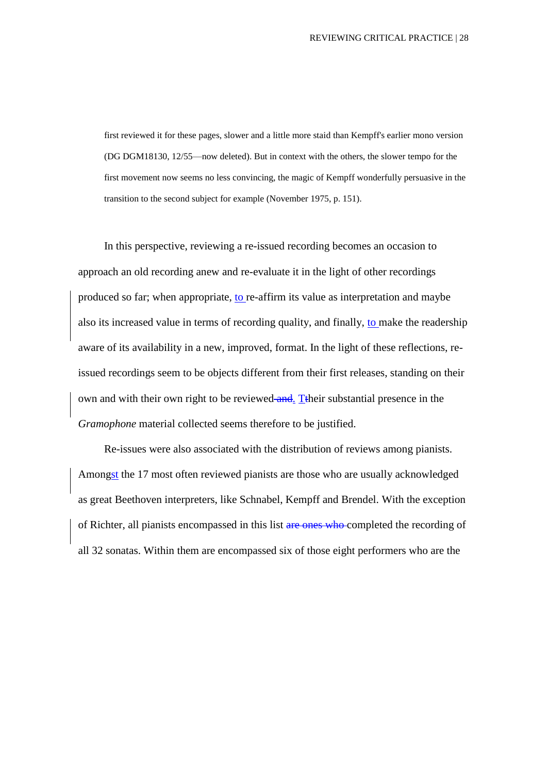first reviewed it for these pages, slower and a little more staid than Kempff's earlier mono version (DG DGM18130, 12/55—now deleted). But in context with the others, the slower tempo for the first movement now seems no less convincing, the magic of Kempff wonderfully persuasive in the transition to the second subject for example (November 1975, p. 151).

In this perspective, reviewing a re-issued recording becomes an occasion to approach an old recording anew and re-evaluate it in the light of other recordings produced so far; when appropriate, to re-affirm its value as interpretation and maybe also its increased value in terms of recording quality, and finally, to make the readership aware of its availability in a new, improved, format. In the light of these reflections, reissued recordings seem to be objects different from their first releases, standing on their own and with their own right to be reviewed and. Their substantial presence in the *Gramophone* material collected seems therefore to be justified.

Re-issues were also associated with the distribution of reviews among pianists. Amongst the 17 most often reviewed pianists are those who are usually acknowledged as great Beethoven interpreters, like Schnabel, Kempff and Brendel. With the exception of Richter, all pianists encompassed in this list are ones who completed the recording of all 32 sonatas. Within them are encompassed six of those eight performers who are the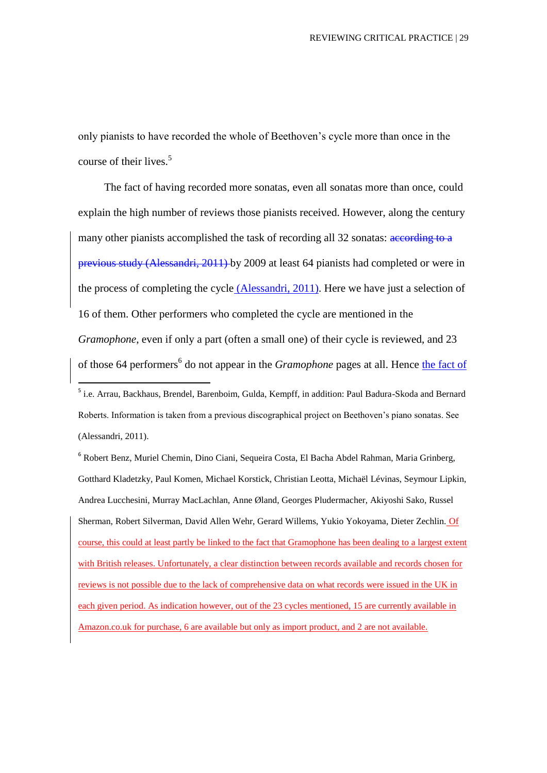only pianists to have recorded the whole of Beethoven's cycle more than once in the course of their lives. 5

The fact of having recorded more sonatas, even all sonatas more than once, could explain the high number of reviews those pianists received. However, along the century many other pianists accomplished the task of recording all 32 sonatas: according to a previous study (Alessandri, 2011) by 2009 at least 64 pianists had completed or were in the process of completing the cycle (Alessandri, 2011). Here we have just a selection of 16 of them. Other performers who completed the cycle are mentioned in the *Gramophone*, even if only a part (often a small one) of their cycle is reviewed, and 23

of those 64 performers<sup>6</sup> do not appear in the *Gramophone* pages at all. Hence the fact of

**.** 

6 Robert Benz, Muriel Chemin, Dino Ciani, Sequeira Costa, El Bacha Abdel Rahman, Maria Grinberg, Gotthard Kladetzky, Paul Komen, Michael Korstick, Christian Leotta, Michaël Lévinas, Seymour Lipkin, Andrea Lucchesini, Murray MacLachlan, Anne Øland, Georges Pludermacher, Akiyoshi Sako, Russel Sherman, Robert Silverman, David Allen Wehr, Gerard Willems, Yukio Yokoyama, Dieter Zechlin. Of course, this could at least partly be linked to the fact that Gramophone has been dealing to a largest extent with British releases. Unfortunately, a clear distinction between records available and records chosen for reviews is not possible due to the lack of comprehensive data on what records were issued in the UK in each given period. As indication however, out of the 23 cycles mentioned, 15 are currently available in Amazon.co.uk for purchase, 6 are available but only as import product, and 2 are not available.

<sup>&</sup>lt;sup>5</sup> i.e. Arrau, Backhaus, Brendel, Barenboim, Gulda, Kempff, in addition: Paul Badura-Skoda and Bernard Roberts. Information is taken from a previous discographical project on Beethoven's piano sonatas. See (Alessandri, 2011).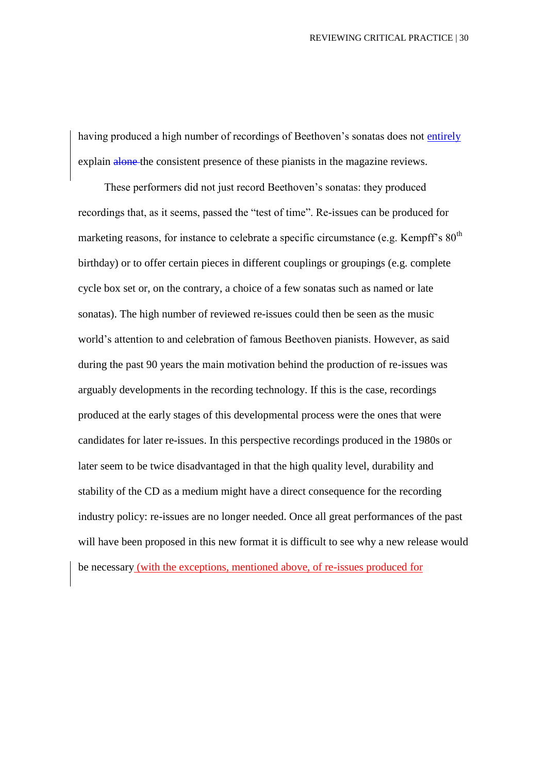having produced a high number of recordings of Beethoven's sonatas does not entirely explain alone the consistent presence of these pianists in the magazine reviews.

These performers did not just record Beethoven's sonatas: they produced recordings that, as it seems, passed the "test of time". Re-issues can be produced for marketing reasons, for instance to celebrate a specific circumstance (e.g. Kempff's  $80<sup>th</sup>$ birthday) or to offer certain pieces in different couplings or groupings (e.g. complete cycle box set or, on the contrary, a choice of a few sonatas such as named or late sonatas). The high number of reviewed re-issues could then be seen as the music world's attention to and celebration of famous Beethoven pianists. However, as said during the past 90 years the main motivation behind the production of re-issues was arguably developments in the recording technology. If this is the case, recordings produced at the early stages of this developmental process were the ones that were candidates for later re-issues. In this perspective recordings produced in the 1980s or later seem to be twice disadvantaged in that the high quality level, durability and stability of the CD as a medium might have a direct consequence for the recording industry policy: re-issues are no longer needed. Once all great performances of the past will have been proposed in this new format it is difficult to see why a new release would be necessary (with the exceptions, mentioned above, of re-issues produced for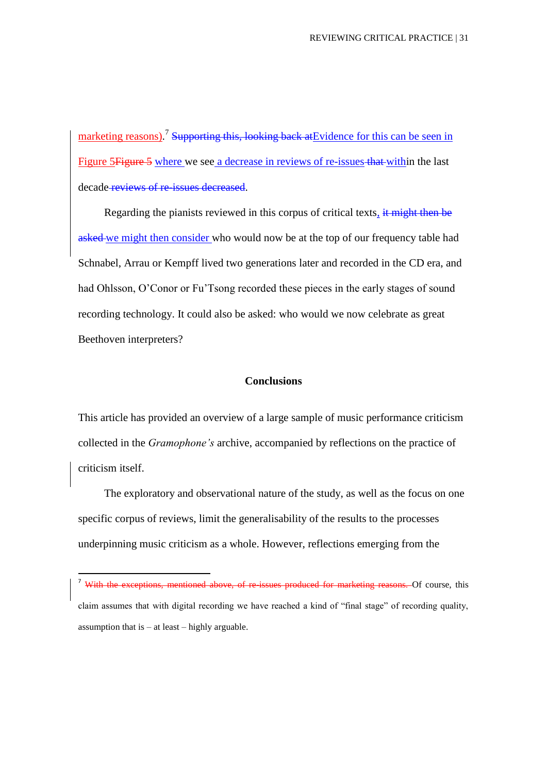marketing reasons).<sup>7</sup> Supporting this, looking back at Evidence for this can be seen in Figure 5 Figure 5 where we see a decrease in reviews of re-issues that within the last decade reviews of re-issues decreased.

Regarding the pianists reviewed in this corpus of critical texts, it might then be asked we might then consider who would now be at the top of our frequency table had Schnabel, Arrau or Kempff lived two generations later and recorded in the CD era, and had Ohlsson, O'Conor or Fu'Tsong recorded these pieces in the early stages of sound recording technology. It could also be asked: who would we now celebrate as great Beethoven interpreters?

#### **Conclusions**

This article has provided an overview of a large sample of music performance criticism collected in the *Gramophone's* archive, accompanied by reflections on the practice of criticism itself.

The exploratory and observational nature of the study, as well as the focus on one specific corpus of reviews, limit the generalisability of the results to the processes underpinning music criticism as a whole. However, reflections emerging from the

**.** 

mentioned above, of re-issues produced for marketing reasons. Of course, this claim assumes that with digital recording we have reached a kind of "final stage" of recording quality, assumption that is  $-$  at least  $-$  highly arguable.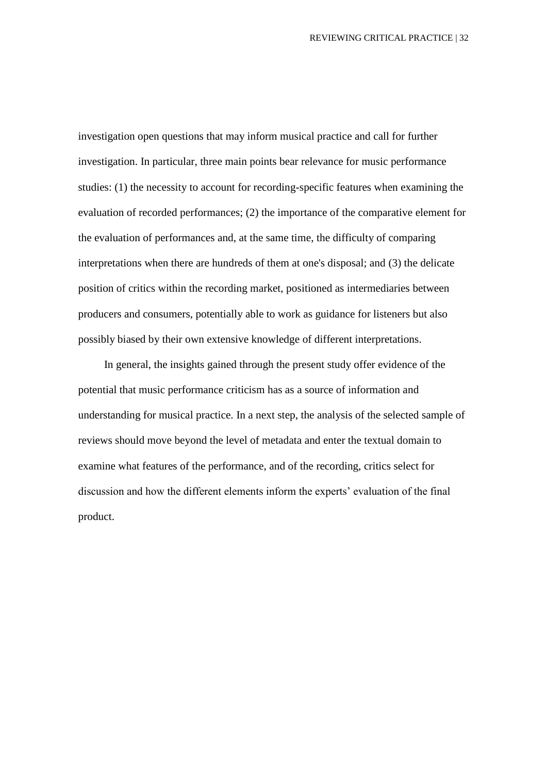investigation open questions that may inform musical practice and call for further investigation. In particular, three main points bear relevance for music performance studies: (1) the necessity to account for recording-specific features when examining the evaluation of recorded performances; (2) the importance of the comparative element for the evaluation of performances and, at the same time, the difficulty of comparing interpretations when there are hundreds of them at one's disposal; and (3) the delicate position of critics within the recording market, positioned as intermediaries between producers and consumers, potentially able to work as guidance for listeners but also possibly biased by their own extensive knowledge of different interpretations.

In general, the insights gained through the present study offer evidence of the potential that music performance criticism has as a source of information and understanding for musical practice. In a next step, the analysis of the selected sample of reviews should move beyond the level of metadata and enter the textual domain to examine what features of the performance, and of the recording, critics select for discussion and how the different elements inform the experts' evaluation of the final product.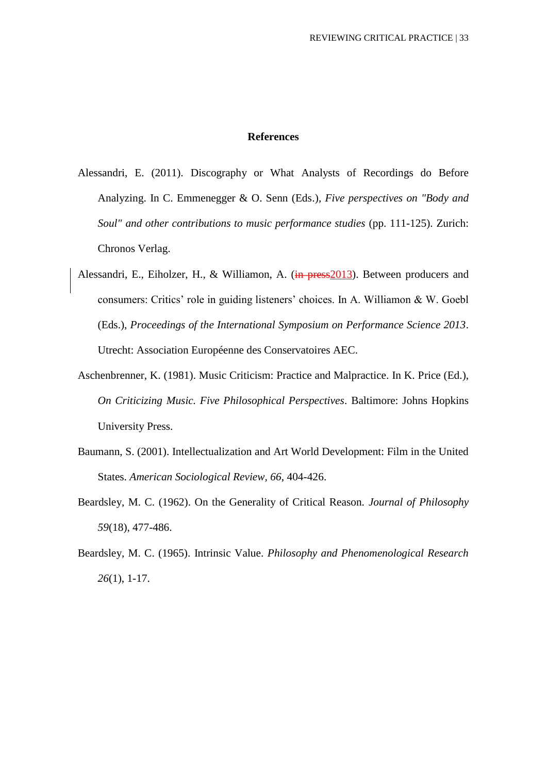#### **References**

- Alessandri, E. (2011). Discography or What Analysts of Recordings do Before Analyzing. In C. Emmenegger & O. Senn (Eds.), *Five perspectives on "Body and Soul" and other contributions to music performance studies* (pp. 111-125). Zurich: Chronos Verlag.
- Alessandri, E., Eiholzer, H., & Williamon, A. (in press 2013). Between producers and consumers: Critics' role in guiding listeners' choices. In A. Williamon & W. Goebl (Eds.), *Proceedings of the International Symposium on Performance Science 2013*. Utrecht: Association Européenne des Conservatoires AEC.
- Aschenbrenner, K. (1981). Music Criticism: Practice and Malpractice. In K. Price (Ed.), *On Criticizing Music. Five Philosophical Perspectives*. Baltimore: Johns Hopkins University Press.
- Baumann, S. (2001). Intellectualization and Art World Development: Film in the United States. *American Sociological Review, 66*, 404-426.
- Beardsley, M. C. (1962). On the Generality of Critical Reason. *Journal of Philosophy 59*(18), 477-486.
- Beardsley, M. C. (1965). Intrinsic Value. *Philosophy and Phenomenological Research 26*(1), 1-17.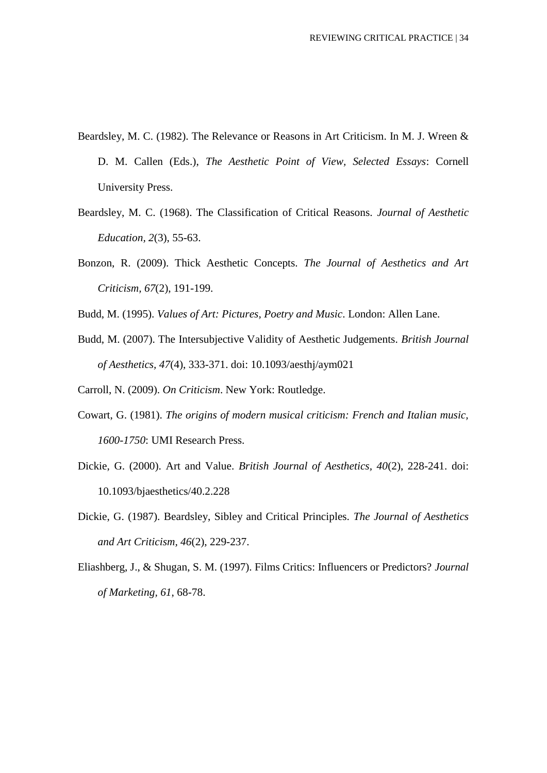- Beardsley, M. C. (1982). The Relevance or Reasons in Art Criticism. In M. J. Wreen & D. M. Callen (Eds.), *The Aesthetic Point of View, Selected Essays*: Cornell University Press.
- Beardsley, M. C. (1968). The Classification of Critical Reasons. *Journal of Aesthetic Education, 2*(3), 55-63.
- Bonzon, R. (2009). Thick Aesthetic Concepts. *The Journal of Aesthetics and Art Criticism, 67*(2), 191-199.
- Budd, M. (1995). *Values of Art: Pictures, Poetry and Music*. London: Allen Lane.
- Budd, M. (2007). The Intersubjective Validity of Aesthetic Judgements. *British Journal of Aesthetics, 47*(4), 333-371. doi: 10.1093/aesthj/aym021

Carroll, N. (2009). *On Criticism*. New York: Routledge.

- Cowart, G. (1981). *The origins of modern musical criticism: French and Italian music, 1600-1750*: UMI Research Press.
- Dickie, G. (2000). Art and Value. *British Journal of Aesthetics, 40*(2), 228-241. doi: 10.1093/bjaesthetics/40.2.228
- Dickie, G. (1987). Beardsley, Sibley and Critical Principles. *The Journal of Aesthetics and Art Criticism, 46*(2), 229-237.
- Eliashberg, J., & Shugan, S. M. (1997). Films Critics: Influencers or Predictors? *Journal of Marketing, 61*, 68-78.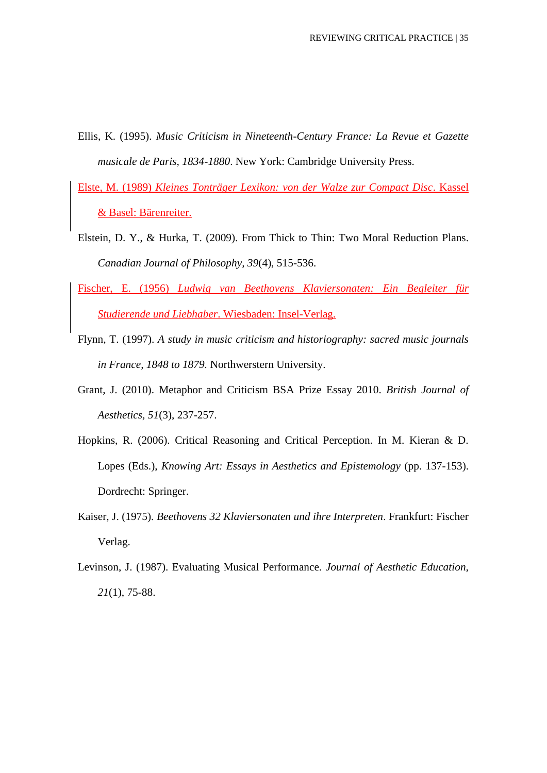- Ellis, K. (1995). *Music Criticism in Nineteenth-Century France: La Revue et Gazette musicale de Paris, 1834-1880*. New York: Cambridge University Press.
- Elste, M. (1989) *Kleines Tonträger Lexikon: von der Walze zur Compact Disc*. Kassel & Basel: Bärenreiter.
- Elstein, D. Y., & Hurka, T. (2009). From Thick to Thin: Two Moral Reduction Plans. *Canadian Journal of Philosophy, 39*(4), 515-536.
- Fischer, E. (1956) *Ludwig van Beethovens Klaviersonaten: Ein Begleiter für Studierende und Liebhaber*. Wiesbaden: Insel-Verlag.
- Flynn, T. (1997). *A study in music criticism and historiography: sacred music journals in France, 1848 to 1879.* Northwerstern University.
- Grant, J. (2010). Metaphor and Criticism BSA Prize Essay 2010. *British Journal of Aesthetics, 51*(3), 237-257.
- Hopkins, R. (2006). Critical Reasoning and Critical Perception. In M. Kieran & D. Lopes (Eds.), *Knowing Art: Essays in Aesthetics and Epistemology* (pp. 137-153). Dordrecht: Springer.
- Kaiser, J. (1975). *Beethovens 32 Klaviersonaten und ihre Interpreten*. Frankfurt: Fischer Verlag.
- Levinson, J. (1987). Evaluating Musical Performance. *Journal of Aesthetic Education, 21*(1), 75-88.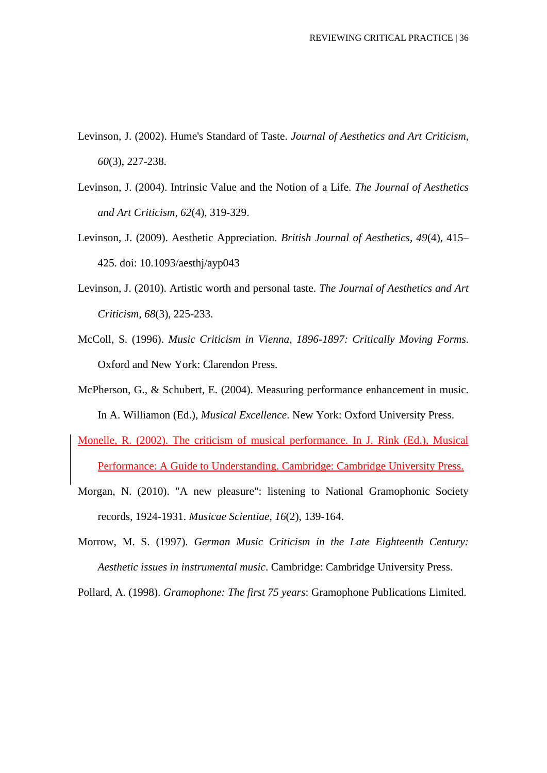- Levinson, J. (2002). Hume's Standard of Taste. *Journal of Aesthetics and Art Criticism, 60*(3), 227-238.
- Levinson, J. (2004). Intrinsic Value and the Notion of a Life. *The Journal of Aesthetics and Art Criticism, 62*(4), 319-329.
- Levinson, J. (2009). Aesthetic Appreciation. *British Journal of Aesthetics, 49*(4), 415– 425. doi: 10.1093/aesthj/ayp043
- Levinson, J. (2010). Artistic worth and personal taste. *The Journal of Aesthetics and Art Criticism, 68*(3), 225-233.
- McColl, S. (1996). *Music Criticism in Vienna, 1896-1897: Critically Moving Forms*. Oxford and New York: Clarendon Press.
- McPherson, G., & Schubert, E. (2004). Measuring performance enhancement in music. In A. Williamon (Ed.), *Musical Excellence*. New York: Oxford University Press.
- Monelle, R. (2002). The criticism of musical performance. In J. Rink (Ed.), Musical Performance: A Guide to Understanding. Cambridge: Cambridge University Press.
- Morgan, N. (2010). "A new pleasure": listening to National Gramophonic Society records, 1924-1931. *Musicae Scientiae, 16*(2), 139-164.
- Morrow, M. S. (1997). *German Music Criticism in the Late Eighteenth Century: Aesthetic issues in instrumental music*. Cambridge: Cambridge University Press.

Pollard, A. (1998). *Gramophone: The first 75 years*: Gramophone Publications Limited.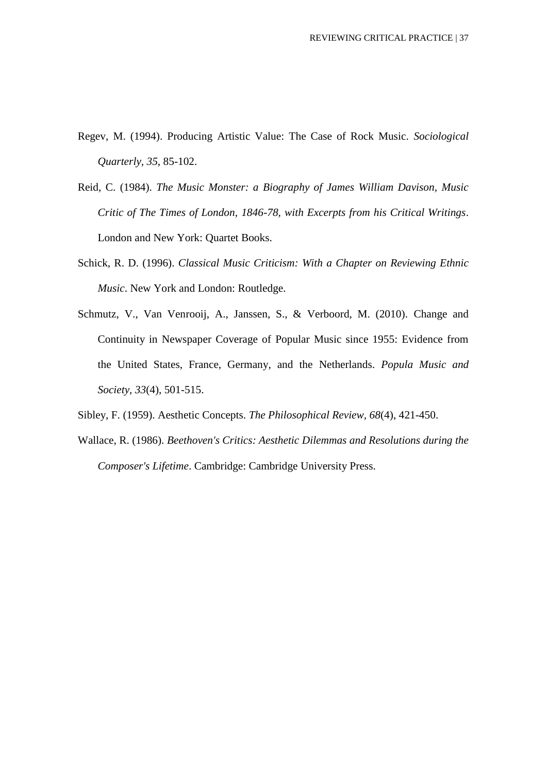- Regev, M. (1994). Producing Artistic Value: The Case of Rock Music. *Sociological Quarterly, 35*, 85-102.
- Reid, C. (1984). *The Music Monster: a Biography of James William Davison, Music Critic of The Times of London, 1846-78, with Excerpts from his Critical Writings*. London and New York: Quartet Books.
- Schick, R. D. (1996). *Classical Music Criticism: With a Chapter on Reviewing Ethnic Music*. New York and London: Routledge.
- Schmutz, V., Van Venrooij, A., Janssen, S., & Verboord, M. (2010). Change and Continuity in Newspaper Coverage of Popular Music since 1955: Evidence from the United States, France, Germany, and the Netherlands. *Popula Music and Society, 33*(4), 501-515.
- Sibley, F. (1959). Aesthetic Concepts. *The Philosophical Review, 68*(4), 421-450.
- Wallace, R. (1986). *Beethoven's Critics: Aesthetic Dilemmas and Resolutions during the Composer's Lifetime*. Cambridge: Cambridge University Press.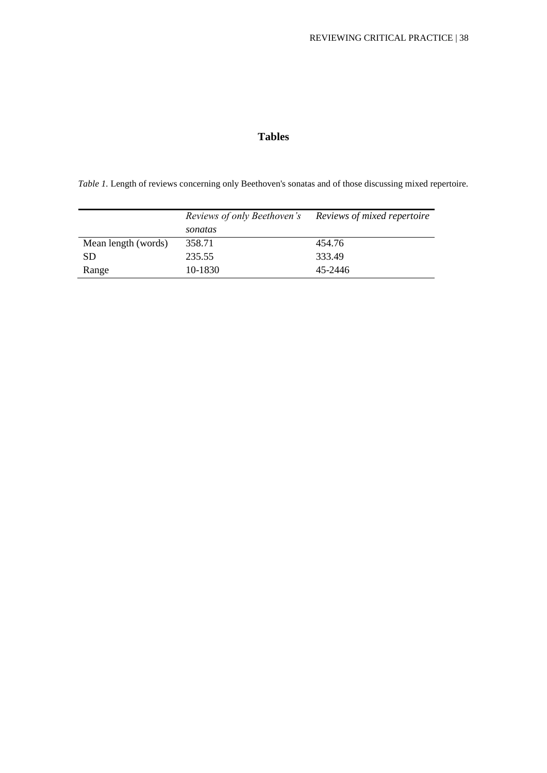## **Tables**

*Table 1.* Length of reviews concerning only Beethoven's sonatas and of those discussing mixed repertoire.

|                     | Reviews of only Beethoven's | Reviews of mixed repertoire |  |
|---------------------|-----------------------------|-----------------------------|--|
|                     | sonatas                     |                             |  |
| Mean length (words) | 358.71                      | 454.76                      |  |
| <b>SD</b>           | 235.55                      | 333.49                      |  |
| Range               | 10-1830                     | 45-2446                     |  |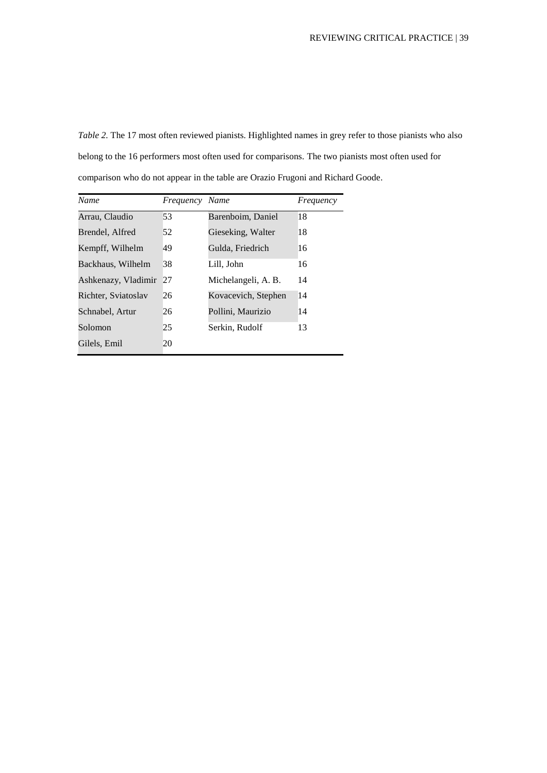*Table 2.* The 17 most often reviewed pianists. Highlighted names in grey refer to those pianists who also belong to the 16 performers most often used for comparisons. The two pianists most often used for comparison who do not appear in the table are Orazio Frugoni and Richard Goode.

| <b>Name</b>            | Frequency | Name                | Frequency |
|------------------------|-----------|---------------------|-----------|
| Arrau, Claudio         | 53        | Barenboim, Daniel   | 18        |
| Brendel, Alfred        | 52        | Gieseking, Walter   | 18        |
| Kempff, Wilhelm        | 49        | Gulda, Friedrich    | 16        |
| Backhaus, Wilhelm      | 38        | Lill, John          | 16        |
| Ashkenazy, Vladimir 27 |           | Michelangeli, A. B. | 14        |
| Richter, Sviatoslav    | 26        | Kovacevich, Stephen | 14        |
| Schnabel, Artur        | 26        | Pollini, Maurizio   | 14        |
| Solomon                | 25        | Serkin, Rudolf      | 13        |
| Gilels, Emil           | 20        |                     |           |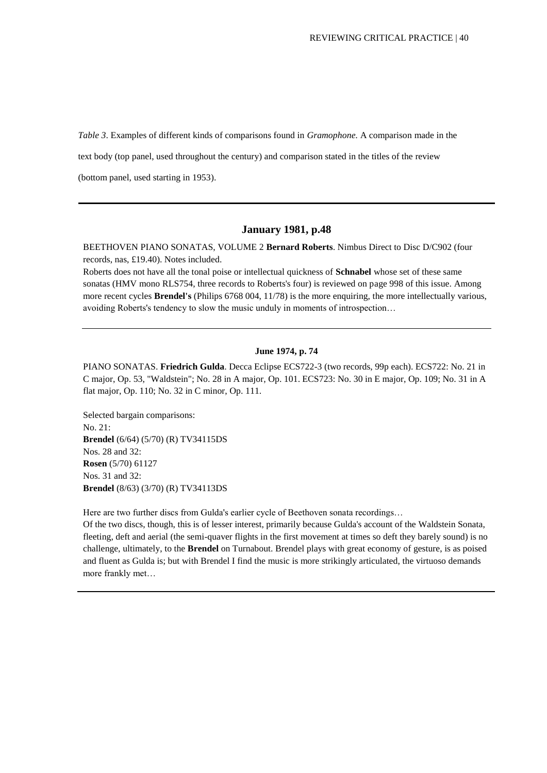*Table 3*. Examples of different kinds of comparisons found in *Gramophone.* A comparison made in the

text body (top panel, used throughout the century) and comparison stated in the titles of the review

(bottom panel, used starting in 1953).

#### **January 1981, p.48**

BEETHOVEN PIANO SONATAS, VOLUME 2 **Bernard Roberts**. Nimbus Direct to Disc D/C902 (four records, nas, £19.40). Notes included.

Roberts does not have all the tonal poise or intellectual quickness of **Schnabel** whose set of these same sonatas (HMV mono RLS754, three records to Roberts's four) is reviewed on page 998 of this issue. Among more recent cycles **Brendel's** (Philips 6768 004, 11/78) is the more enquiring, the more intellectually various, avoiding Roberts's tendency to slow the music unduly in moments of introspection…

#### **June 1974, p. 74**

PIANO SONATAS. **Friedrich Gulda**. Decca Eclipse ECS722-3 (two records, 99p each). ECS722: No. 21 in C major, Op. 53, "Waldstein"; No. 28 in A major, Op. 101. ECS723: No. 30 in E major, Op. 109; No. 31 in A flat major, Op. 110; No. 32 in C minor, Op. 111.

Selected bargain comparisons: No. 21: **Brendel** (6/64) (5/70) (R) TV34115DS Nos. 28 and 32: **Rosen** (5/70) 61127 Nos. 31 and 32: **Brendel** (8/63) (3/70) (R) TV34113DS

Here are two further discs from Gulda's earlier cycle of Beethoven sonata recordings…

Of the two discs, though, this is of lesser interest, primarily because Gulda's account of the Waldstein Sonata, fleeting, deft and aerial (the semi-quaver flights in the first movement at times so deft they barely sound) is no challenge, ultimately, to the **Brendel** on Turnabout. Brendel plays with great economy of gesture, is as poised and fluent as Gulda is; but with Brendel I find the music is more strikingly articulated, the virtuoso demands more frankly met…